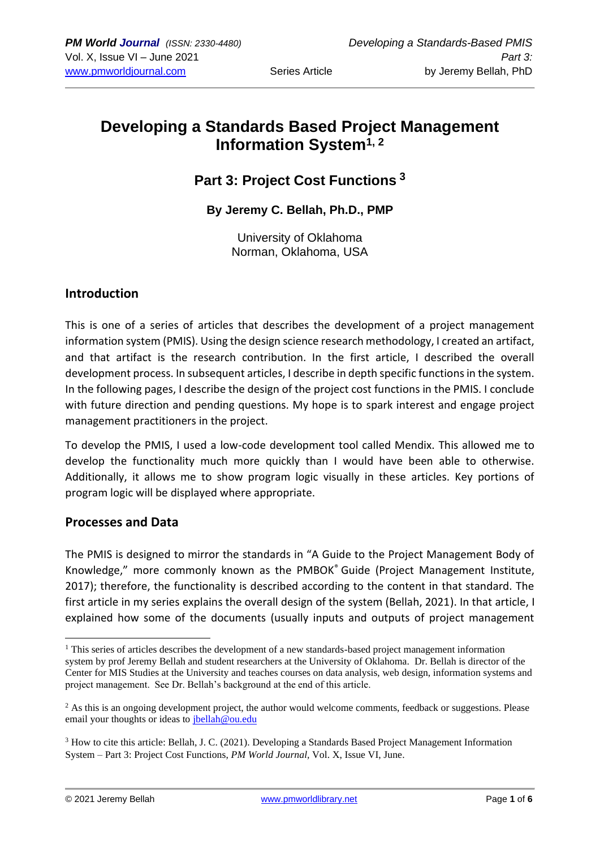# **Developing a Standards Based Project Management Information System1, <sup>2</sup>**

## **Part 3: Project Cost Functions <sup>3</sup>**

**By Jeremy C. Bellah, Ph.D., PMP**

University of Oklahoma Norman, Oklahoma, USA

## **Introduction**

This is one of a series of articles that describes the development of a project management information system (PMIS). Using the design science research methodology, I created an artifact, and that artifact is the research contribution. In the first article, I described the overall development process. In subsequent articles, I describe in depth specific functions in the system. In the following pages, I describe the design of the project cost functions in the PMIS. I conclude with future direction and pending questions. My hope is to spark interest and engage project management practitioners in the project.

To develop the PMIS, I used a low-code development tool called Mendix. This allowed me to develop the functionality much more quickly than I would have been able to otherwise. Additionally, it allows me to show program logic visually in these articles. Key portions of program logic will be displayed where appropriate.

## **Processes and Data**

The PMIS is designed to mirror the standards in "A Guide to the Project Management Body of Knowledge," more commonly known as the PMBOK® Guide (Project Management Institute, 2017); therefore, the functionality is described according to the content in that standard. The first article in my series explains the overall design of the system (Bellah, 2021). In that article, I explained how some of the documents (usually inputs and outputs of project management

 $1$  This series of articles describes the development of a new standards-based project management information system by prof Jeremy Bellah and student researchers at the University of Oklahoma. Dr. Bellah is director of the Center for MIS Studies at the University and teaches courses on data analysis, web design, information systems and project management. See Dr. Bellah's background at the end of this article.

<sup>&</sup>lt;sup>2</sup> As this is an ongoing development project, the author would welcome comments, feedback or suggestions. Please email your thoughts or ideas to [jbellah@ou.edu](mailto:jbellah@ou.edu)

<sup>3</sup> How to cite this article: Bellah, J. C. (2021). Developing a Standards Based Project Management Information System – Part 3: Project Cost Functions, *PM World Journal,* Vol. X, Issue VI, June.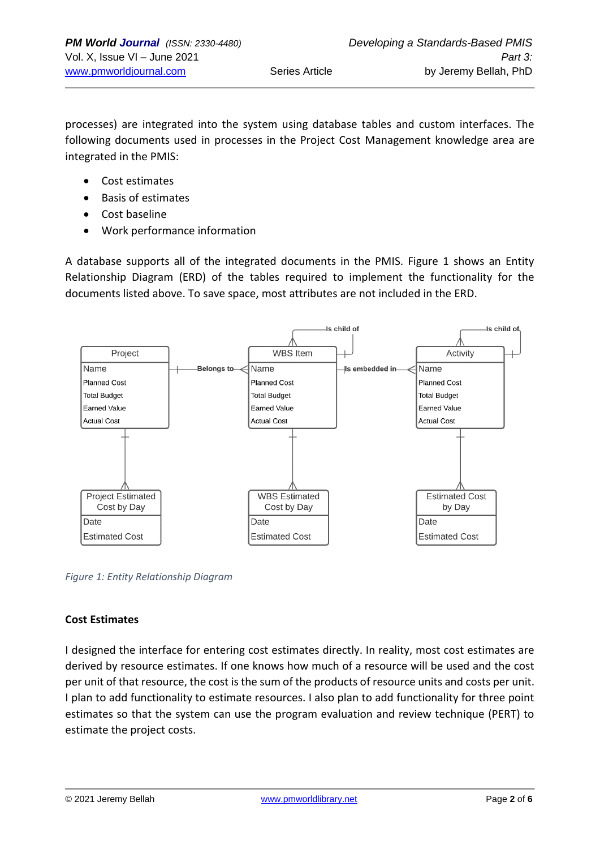processes) are integrated into the system using database tables and custom interfaces. The following documents used in processes in the Project Cost Management knowledge area are

• Cost estimates

integrated in the PMIS:

- Basis of estimates
- Cost baseline
- Work performance information

A database supports all of the integrated documents in the PMIS. Figure 1 shows an Entity Relationship Diagram (ERD) of the tables required to implement the functionality for the documents listed above. To save space, most attributes are not included in the ERD.



*Figure 1: Entity Relationship Diagram*

#### **Cost Estimates**

I designed the interface for entering cost estimates directly. In reality, most cost estimates are derived by resource estimates. If one knows how much of a resource will be used and the cost per unit of that resource, the cost is the sum of the products of resource units and costs per unit. I plan to add functionality to estimate resources. I also plan to add functionality for three point estimates so that the system can use the program evaluation and review technique (PERT) to estimate the project costs.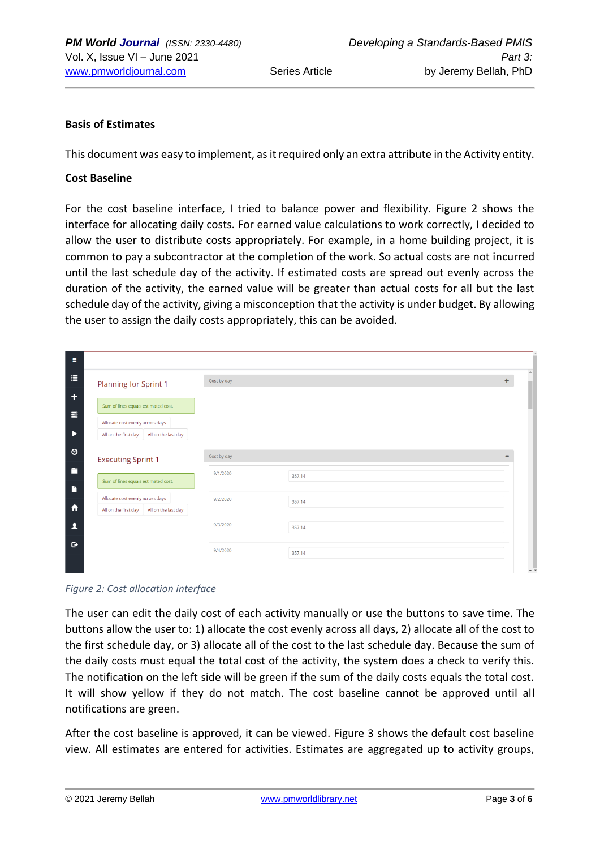#### **Basis of Estimates**

This document was easy to implement, as it required only an extra attribute in the Activity entity.

#### **Cost Baseline**

For the cost baseline interface, I tried to balance power and flexibility. Figure 2 shows the interface for allocating daily costs. For earned value calculations to work correctly, I decided to allow the user to distribute costs appropriately. For example, in a home building project, it is common to pay a subcontractor at the completion of the work. So actual costs are not incurred until the last schedule day of the activity. If estimated costs are spread out evenly across the duration of the activity, the earned value will be greater than actual costs for all but the last schedule day of the activity, giving a misconception that the activity is under budget. By allowing the user to assign the daily costs appropriately, this can be avoided.

| Ξ             |                                                                                 |             |                                    |
|---------------|---------------------------------------------------------------------------------|-------------|------------------------------------|
| 這             | Planning for Sprint 1                                                           | Cost by day | $\blacktriangle$<br>٠              |
| ÷<br>$\equiv$ | Sum of lines equals estimated cost.                                             |             |                                    |
| ▶             | Allocate cost evenly across days<br>All on the first day<br>All on the last day |             |                                    |
| $\circ$       | <b>Executing Sprint 1</b>                                                       | Cost by day | -                                  |
| Ē             | Sum of lines equals estimated cost.                                             | 9/1/2020    | 357.14                             |
| Ŀ             | Allocate cost evenly across days                                                | 9/2/2020    | 357.14                             |
| 合<br>┚        | All on the first day<br>All on the last day                                     | 9/3/2020    | 357.14                             |
| $\bullet$     |                                                                                 |             |                                    |
|               |                                                                                 | 9/4/2020    | 357.14<br>$\overline{\phantom{a}}$ |

*Figure 2: Cost allocation interface*

The user can edit the daily cost of each activity manually or use the buttons to save time. The buttons allow the user to: 1) allocate the cost evenly across all days, 2) allocate all of the cost to the first schedule day, or 3) allocate all of the cost to the last schedule day. Because the sum of the daily costs must equal the total cost of the activity, the system does a check to verify this. The notification on the left side will be green if the sum of the daily costs equals the total cost. It will show yellow if they do not match. The cost baseline cannot be approved until all notifications are green.

After the cost baseline is approved, it can be viewed. Figure 3 shows the default cost baseline view. All estimates are entered for activities. Estimates are aggregated up to activity groups,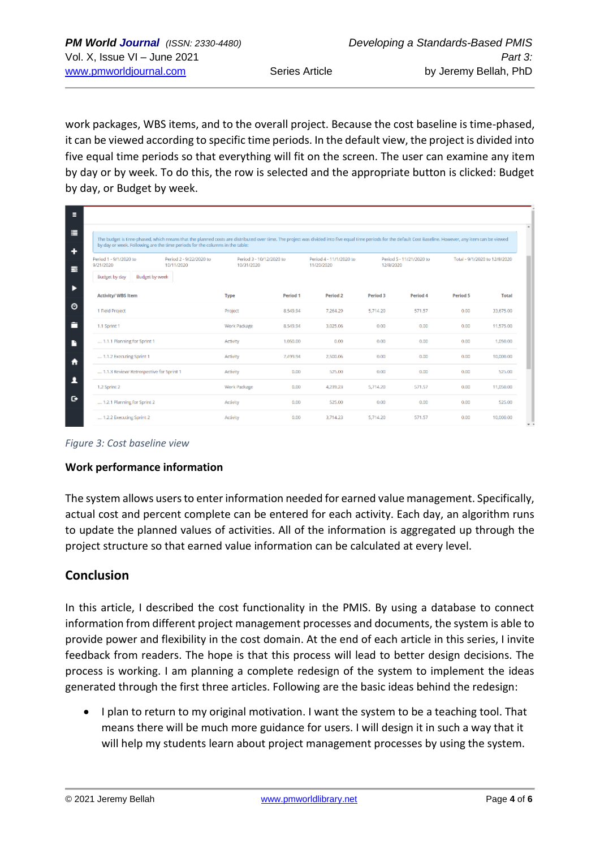work packages, WBS items, and to the overall project. Because the cost baseline is time-phased, it can be viewed according to specific time periods. In the default view, the project is divided into five equal time periods so that everything will fit on the screen. The user can examine any item by day or by week. To do this, the row is selected and the appropriate button is clicked: Budget by day, or Budget by week.

|                                          | The budget is time-phased, which means that the planned costs are distributed over time. The project was divided into five equal time periods for the default Cost Baseline. However, any item can be viewed<br>by day or week. Following are the time periods for the columns in the table: |              |                                        |                     |                                       |          |                               |           |
|------------------------------------------|----------------------------------------------------------------------------------------------------------------------------------------------------------------------------------------------------------------------------------------------------------------------------------------------|--------------|----------------------------------------|---------------------|---------------------------------------|----------|-------------------------------|-----------|
| Period 1 - 9/1/2020 to<br>9/21/2020      | Period 2 - 9/22/2020 to<br>10/11/2020                                                                                                                                                                                                                                                        |              | Period 3 - 10/12/2020 to<br>10/31/2020 |                     | Period 5 - 11/21/2020 to<br>12/8/2020 |          | Total - 9/1/2020 to 12/8/2020 |           |
| Budget by day                            | <b>Budget by week</b>                                                                                                                                                                                                                                                                        |              |                                        |                     |                                       |          |                               |           |
| Activity/ WBS Item                       |                                                                                                                                                                                                                                                                                              | Type         | Period <sub>1</sub>                    | Period <sub>2</sub> | Period 3                              | Period 4 | Period 5                      | Total     |
| 1 Field Project                          |                                                                                                                                                                                                                                                                                              | Project      | 8.549.94                               | 7.264.29            | 5.714.20                              | 571.57   | 0.00                          | 33,675.00 |
| 1.1 Sprint 1                             |                                                                                                                                                                                                                                                                                              | Work Package | 8.549.94                               | 3,025.06            | 0.00                                  | 0.00     | 0.00                          | 11,575.00 |
| 1.1.1 Planning for Sprint 1              |                                                                                                                                                                                                                                                                                              | Activity     | 1,050.00                               | 0.00                | 0.00                                  | 0.00     | 0.00                          | 1,050.00  |
| 1.1.2 Executing Sprint 1                 |                                                                                                                                                                                                                                                                                              | Activity     | 7,499.94                               | 2,500.06            | 0.00                                  | 0.00     | 0.00                          | 10,000.00 |
| 1.1.3 Review/ Retrospective for Sprint 1 |                                                                                                                                                                                                                                                                                              | Activity     | 0.00                                   | 525.00              | 0.00                                  | 0.00     | 0.00                          | 525.00    |
| 1.2 Sprint 2                             |                                                                                                                                                                                                                                                                                              | Work Package | 0.00                                   | 4,239.23            | 5.714.20                              | 571.57   | 0.00                          | 11,050.00 |
| 1.2.1 Planning for Sprint 2              |                                                                                                                                                                                                                                                                                              | Activity     | 0.00                                   | 525.00              | 0.00                                  | 0.00     | 0.00                          | 525.00    |
| 1.2.2 Executing Sprint 2                 |                                                                                                                                                                                                                                                                                              | Activity     | 0.00                                   | 3.714.23            | 5.714.20                              | 571.57   | 0.00                          | 10,000.00 |

*Figure 3: Cost baseline view*

#### **Work performance information**

The system allows users to enter information needed for earned value management. Specifically, actual cost and percent complete can be entered for each activity. Each day, an algorithm runs to update the planned values of activities. All of the information is aggregated up through the project structure so that earned value information can be calculated at every level.

## **Conclusion**

In this article, I described the cost functionality in the PMIS. By using a database to connect information from different project management processes and documents, the system is able to provide power and flexibility in the cost domain. At the end of each article in this series, I invite feedback from readers. The hope is that this process will lead to better design decisions. The process is working. I am planning a complete redesign of the system to implement the ideas generated through the first three articles. Following are the basic ideas behind the redesign:

• I plan to return to my original motivation. I want the system to be a teaching tool. That means there will be much more guidance for users. I will design it in such a way that it will help my students learn about project management processes by using the system.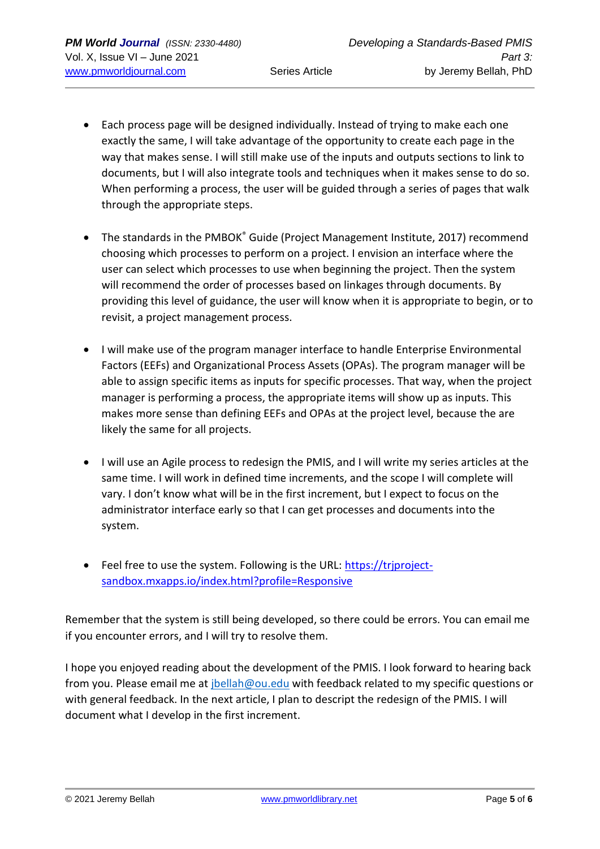- 
- Each process page will be designed individually. Instead of trying to make each one exactly the same, I will take advantage of the opportunity to create each page in the way that makes sense. I will still make use of the inputs and outputs sections to link to documents, but I will also integrate tools and techniques when it makes sense to do so. When performing a process, the user will be guided through a series of pages that walk through the appropriate steps.
- The standards in the PMBOK® Guide (Project Management Institute, 2017) recommend choosing which processes to perform on a project. I envision an interface where the user can select which processes to use when beginning the project. Then the system will recommend the order of processes based on linkages through documents. By providing this level of guidance, the user will know when it is appropriate to begin, or to revisit, a project management process.
- I will make use of the program manager interface to handle Enterprise Environmental Factors (EEFs) and Organizational Process Assets (OPAs). The program manager will be able to assign specific items as inputs for specific processes. That way, when the project manager is performing a process, the appropriate items will show up as inputs. This makes more sense than defining EEFs and OPAs at the project level, because the are likely the same for all projects.
- I will use an Agile process to redesign the PMIS, and I will write my series articles at the same time. I will work in defined time increments, and the scope I will complete will vary. I don't know what will be in the first increment, but I expect to focus on the administrator interface early so that I can get processes and documents into the system.
- Feel free to use the system. Following is the URL: [https://trjproject](https://trjproject-sandbox.mxapps.io/index.html?profile=Responsive)[sandbox.mxapps.io/index.html?profile=Responsive](https://trjproject-sandbox.mxapps.io/index.html?profile=Responsive)

Remember that the system is still being developed, so there could be errors. You can email me if you encounter errors, and I will try to resolve them.

I hope you enjoyed reading about the development of the PMIS. I look forward to hearing back from you. Please email me at *jbellah@ou.edu* with feedback related to my specific questions or with general feedback. In the next article, I plan to descript the redesign of the PMIS. I will document what I develop in the first increment.